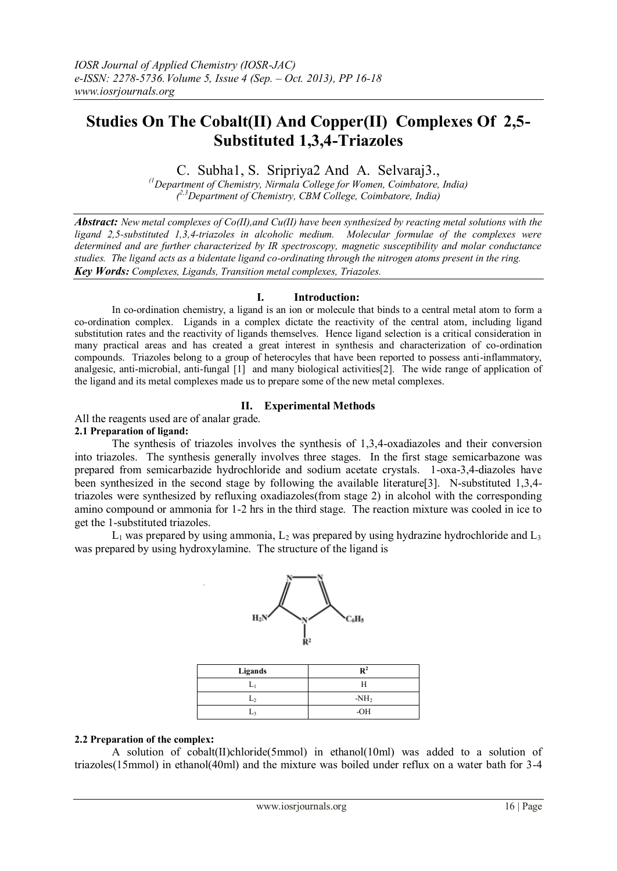# **Studies On The Cobalt(II) And Copper(II) Complexes Of 2,5- Substituted 1,3,4-Triazoles**

C. Subha1, S. Sripriya2 And A. Selvaraj3.,

*(1Department of Chemistry, Nirmala College for Women, Coimbatore, India) ( 2,3Department of Chemistry, CBM College, Coimbatore, India)*

*Abstract: New metal complexes of Co(II),and Cu(II) have been synthesized by reacting metal solutions with the ligand 2,5-substituted 1,3,4-triazoles in alcoholic medium. Molecular formulae of the complexes were determined and are further characterized by IR spectroscopy, magnetic susceptibility and molar conductance studies. The ligand acts as a bidentate ligand co-ordinating through the nitrogen atoms present in the ring. Key Words: Complexes, Ligands, Transition metal complexes, Triazoles.*

#### **I. Introduction:**

In co-ordination chemistry, a ligand is an ion or molecule that binds to a central metal atom to form a co-ordination complex. Ligands in a complex dictate the reactivity of the central atom, including ligand substitution rates and the reactivity of ligands themselves. Hence ligand selection is a critical consideration in many practical areas and has created a great interest in synthesis and characterization of co-ordination compounds. Triazoles belong to a group of heterocyles that have been reported to possess anti-inflammatory, analgesic, anti-microbial, anti-fungal [1] and many biological activities[2]. The wide range of application of the ligand and its metal complexes made us to prepare some of the new metal complexes.

## **II. Experimental Methods**

All the reagents used are of analar grade.

#### **2.1 Preparation of ligand:**

The synthesis of triazoles involves the synthesis of 1,3,4-oxadiazoles and their conversion into triazoles. The synthesis generally involves three stages. In the first stage semicarbazone was prepared from semicarbazide hydrochloride and sodium acetate crystals. 1-oxa-3,4-diazoles have been synthesized in the second stage by following the available literature<sup>[3]</sup>. N-substituted 1,3,4triazoles were synthesized by refluxing oxadiazoles(from stage 2) in alcohol with the corresponding amino compound or ammonia for 1-2 hrs in the third stage. The reaction mixture was cooled in ice to get the 1-substituted triazoles.

 $L_1$  was prepared by using ammonia,  $L_2$  was prepared by using hydrazine hydrochloride and  $L_3$ was prepared by using hydroxylamine. The structure of the ligand is



| Ligands | $\mathbf{R}^2$ |
|---------|----------------|
|         |                |
|         | $-NH2$         |
| ⊷       | $-OH$          |

#### **2.2 Preparation of the complex:**

A solution of cobalt(II)chloride(5mmol) in ethanol(10ml) was added to a solution of triazoles(15mmol) in ethanol(40ml) and the mixture was boiled under reflux on a water bath for 3-4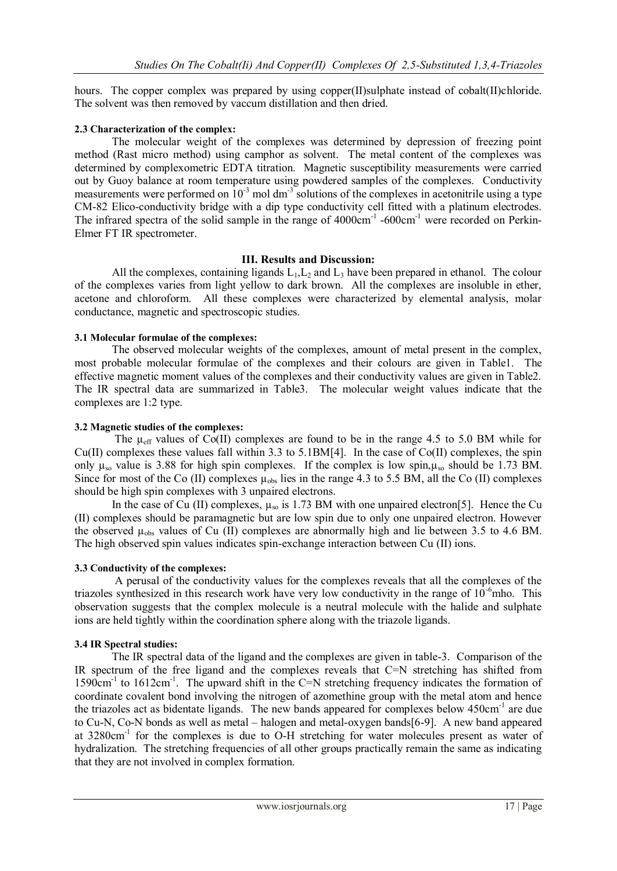hours. The copper complex was prepared by using copper(II)sulphate instead of cobalt(II)chloride. The solvent was then removed by vaccum distillation and then dried.

## **2.3 Characterization of the complex:**

The molecular weight of the complexes was determined by depression of freezing point method (Rast micro method) using camphor as solvent. The metal content of the complexes was determined by complexometric EDTA titration. Magnetic susceptibility measurements were carried out by Guoy balance at room temperature using powdered samples of the complexes. Conductivity measurements were performed on  $10^{-3}$  mol dm<sup>-3</sup> solutions of the complexes in acetonitrile using a type CM-82 Elico-conductivity bridge with a dip type conductivity cell fitted with a platinum electrodes. The infrared spectra of the solid sample in the range of  $4000 \text{cm}^{-1}$  -600 $\text{cm}^{-1}$  were recorded on Perkin-Elmer FT IR spectrometer.

# **III. Results and Discussion:**

All the complexes, containing ligands  $L_1, L_2$  and  $L_3$  have been prepared in ethanol. The colour of the complexes varies from light yellow to dark brown. All the complexes are insoluble in ether, acetone and chloroform. All these complexes were characterized by elemental analysis, molar conductance, magnetic and spectroscopic studies.

## **3.1 Molecular formulae of the complexes:**

The observed molecular weights of the complexes, amount of metal present in the complex, most probable molecular formulae of the complexes and their colours are given in Table1. The effective magnetic moment values of the complexes and their conductivity values are given in Table2. The IR spectral data are summarized in Table3. The molecular weight values indicate that the complexes are 1:2 type.

# **3.2 Magnetic studies of the complexes:**

The  $\mu_{eff}$  values of Co(II) complexes are found to be in the range 4.5 to 5.0 BM while for Cu(II) complexes these values fall within 3.3 to 5.1BM[4]. In the case of Co(II) complexes, the spin only  $\mu_{so}$  value is 3.88 for high spin complexes. If the complex is low spin,  $\mu_{so}$  should be 1.73 BM. Since for most of the Co (II) complexes  $\mu_{obs}$  lies in the range 4.3 to 5.5 BM, all the Co (II) complexes should be high spin complexes with 3 unpaired electrons.

In the case of Cu (II) complexes,  $\mu_{so}$  is 1.73 BM with one unpaired electron[5]. Hence the Cu (II) complexes should be paramagnetic but are low spin due to only one unpaired electron. However the observed  $\mu_{obs}$  values of Cu (II) complexes are abnormally high and lie between 3.5 to 4.6 BM. The high observed spin values indicates spin-exchange interaction between Cu (II) ions.

# **3.3 Conductivity of the complexes:**

A perusal of the conductivity values for the complexes reveals that all the complexes of the triazoles synthesized in this research work have very low conductivity in the range of  $10^{-6}$ mho. This observation suggests that the complex molecule is a neutral molecule with the halide and sulphate ions are held tightly within the coordination sphere along with the triazole ligands.

# **3.4 IR Spectral studies:**

The IR spectral data of the ligand and the complexes are given in table-3. Comparison of the IR spectrum of the free ligand and the complexes reveals that C=N stretching has shifted from 1590cm<sup>-1</sup> to 1612cm<sup>-1</sup>. The upward shift in the C=N stretching frequency indicates the formation of coordinate covalent bond involving the nitrogen of azomethine group with the metal atom and hence the triazoles act as bidentate ligands. The new bands appeared for complexes below 450cm<sup>-1</sup> are due to Cu-N, Co-N bonds as well as metal – halogen and metal-oxygen bands[6-9]. A new band appeared at 3280cm<sup>-1</sup> for the complexes is due to O-H stretching for water molecules present as water of hydralization. The stretching frequencies of all other groups practically remain the same as indicating that they are not involved in complex formation.